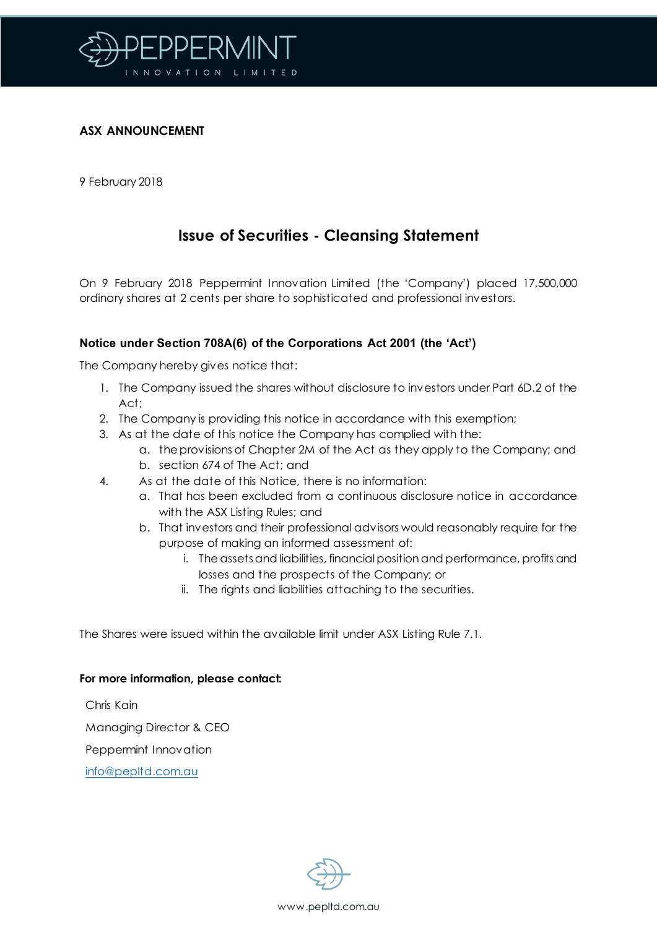

### **ASX ANNOUNCEMENT**

9 February 2018

# **Issue of Securities - Cleansing Statement**

On 9 February 2018 Peppermint Innovation Limited (the 'Company') placed 17,500,000 ordinary shares at 2 cents per share to sophisticated and professional investors.

## **Notice under Section 708A(6) of the Corporations Act 2001 (the 'Act')**

The Company hereby gives notice that:

- 1. The Company issued the shares without disclosure to investors under Part 6D.2 of the Act;
- 2. The Company is providing this notice in accordance with this exemption;
- 3. As at the date of this notice the Company has complied with the:
	- a. the provisions of Chapter 2M of the Act as they apply to the Company; and b. section 674 of The Act; and
	-
- 4. As at the date of this Notice, there is no information:
	- a. That has been excluded from a continuous disclosure notice in accordance with the ASX Listing Rules; and
	- b. That investors and their professional advisors would reasonably require for the purpose of making an informed assessment of:
		- i. The assets and liabilities, financial position and performance, profits and losses and the prospects of the Company; or
		- ii. The rights and liabilities attaching to the securities.

The Shares were issued within the available limit under ASX Listing Rule 7.1.

#### **For more information, please contact:**

Chris Kain

Managing Director & CEO

Peppermint Innovation

[info@pepltd.com.au](mailto:info@pepltd.com.au)